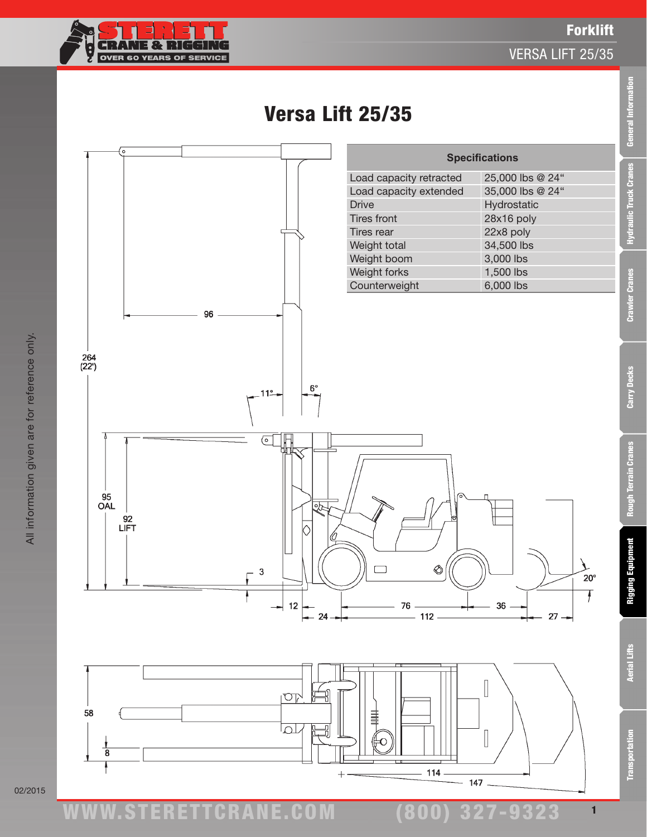

## Versa Lift 25/35



02/2015

www.STERETTCRAnE.Com

**Aerial Lifts** 

**Transportation**